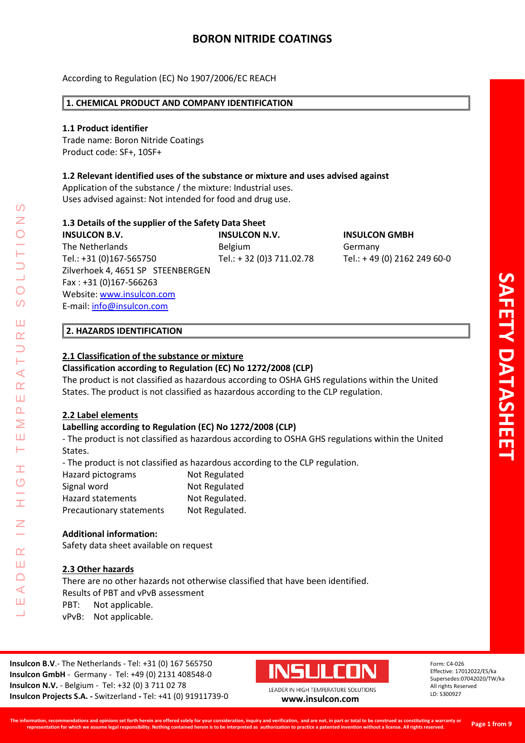According to Regulation (EC) No 1907/2006/EC REACH

## **1. CHEMICAL PRODUCT AND COMPANY IDENTIFICATION**

## **1.1 Product identifier**

Trade name: Boron Nitride Coatings Product code: SF+, 10SF+

## **1.2 Relevant identified uses of the substance or mixture and uses advised against**

Application of the substance / the mixture: Industrial uses. Uses advised against: Not intended for food and drug use.

# **1.3 Details of the supplier of the Safety Data Sheet**

**INSULCON B.V. INSULCON N.V. INSULCON GMBH** The Netherlands **Belgium** Belgium Germany Tel.: +31 (0)167-565750 Tel.: + 32 (0)3 711.02.78 Tel.: + 49 (0) 2162 249 60-0 Zilverhoek 4, 4651 SP STEENBERGEN Fax : +31 (0)167-566263 Website: [www.insulcon.com](http://www.insulcon.com/) E-mail: [info@insulcon.com](mailto:info@insulcon.com)

# **2. HAZARDS IDENTIFICATION**

# **2.1 Classification of the substance or mixture**

# **Classification according to Regulation (EC) No 1272/2008 (CLP)**

The product is not classified as hazardous according to OSHA GHS regulations within the United States. The product is not classified as hazardous according to the CLP regulation.

## **2.2 Label elements**

LEADER IN HIGH TEMPERATURE SOLUTIONS

Ŧ  $\overline{O}$ 

 $\alpha$ Ш  $\Box$  $\blacktriangleleft$ Ш ┙

 $\blacktriangleleft$  $\alpha$ Ш  $\overline{\mathbf{r}}$ Σ Ш Н

 $\Omega$ Z

 $\overline{O}$  $\Omega$ 

Ш  $\alpha$ 

## **Labelling according to Regulation (EC) No 1272/2008 (CLP)**

- The product is not classified as hazardous according to OSHA GHS regulations within the United States.

- The product is not classified as hazardous according to the CLP regulation.

| Hazard pictograms        | Not Regulated  |
|--------------------------|----------------|
| Signal word              | Not Regulated  |
| <b>Hazard statements</b> | Not Regulated. |
| Precautionary statements | Not Regulated. |

#### **Additional information:**

Safety data sheet available on request

## **2.3 Other hazards**

There are no other hazards not otherwise classified that have been identified. Results of PBT and vPvB assessment PBT: Not applicable.

vPvB: Not applicable.

**Insulcon B.V**.- The Netherlands - Tel: +31 (0) 167 565750 **Insulcon GmbH** - Germany - Tel: +49 (0) 2131 408548-0 **Insulcon N.V.** - Belgium - Tel: +32 (0) 3 711 02 78 **Insulcon Projects S.A. -** Switzerland **-** Tel: +41 (0) 91911739-0 **[www.insulcon.com](http://www.insulcon.com/)**



LEADER IN HIGH TEMPERATURE SOLUTIONS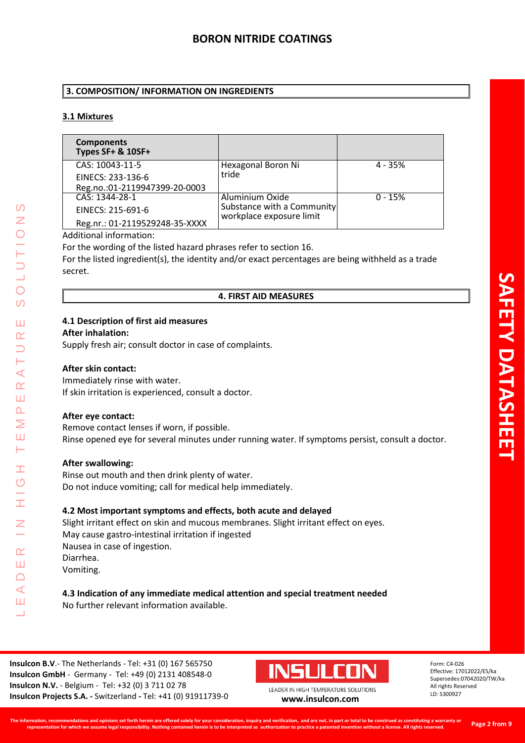## **3. COMPOSITION/ INFORMATION ON INGREDIENTS**

# **3.1 Mixtures**

| <b>Components</b><br>Types SF+ & 10SF+ |                                                        |           |
|----------------------------------------|--------------------------------------------------------|-----------|
| CAS: 10043-11-5                        | Hexagonal Boron Ni                                     | $4 - 35%$ |
| EINECS: 233-136-6                      | tride                                                  |           |
| Reg.no.:01-2119947399-20-0003          |                                                        |           |
| CAS: 1344-28-1                         | Aluminium Oxide                                        | $0 - 15%$ |
| EINECS: 215-691-6                      | Substance with a Community<br>workplace exposure limit |           |
| Reg.nr.: 01-2119529248-35-XXXX         |                                                        |           |

## Additional information:

For the wording of the listed hazard phrases refer to section 16.

For the listed ingredient(s), the identity and/or exact percentages are being withheld as a trade secret.

## **4. FIRST AID MEASURES**

## **4.1 Description of first aid measures**

#### **After inhalation:**

Supply fresh air; consult doctor in case of complaints.

## **After skin contact:**

Immediately rinse with water. If skin irritation is experienced, consult a doctor.

## **After eye contact:**

LEADER IN HIGH TEMPERATURE SOLUTIONS

Ŧ  $\overline{O}$ 

I

 $\alpha$ Ш  $\Box$  $\blacktriangleleft$ Ш  $\overline{\phantom{0}}$ 

 $\prec$  $\alpha$ Ш  $\Delta$  $\geq$ Ш Н

 $\mathcal{O}$ 

 $\bigcirc$  $\overline{O}$ 

Ш  $\alpha$ 

> Remove contact lenses if worn, if possible. Rinse opened eye for several minutes under running water. If symptoms persist, consult a doctor.

## **After swallowing:**

Rinse out mouth and then drink plenty of water. Do not induce vomiting; call for medical help immediately.

## **4.2 Most important symptoms and effects, both acute and delayed**

Slight irritant effect on skin and mucous membranes. Slight irritant effect on eyes. May cause gastro-intestinal irritation if ingested Nausea in case of ingestion. Diarrhea. Vomiting.

#### **4.3 Indication of any immediate medical attention and special treatment needed** No further relevant information available.

**Insulcon B.V**.- The Netherlands - Tel: +31 (0) 167 565750 **Insulcon GmbH** - Germany - Tel: +49 (0) 2131 408548-0 **Insulcon N.V.** - Belgium - Tel: +32 (0) 3 711 02 78 **Insulcon Projects S.A. -** Switzerland **-** Tel: +41 (0) 91911739-0 **[www.insulcon.com](http://www.insulcon.com/)**

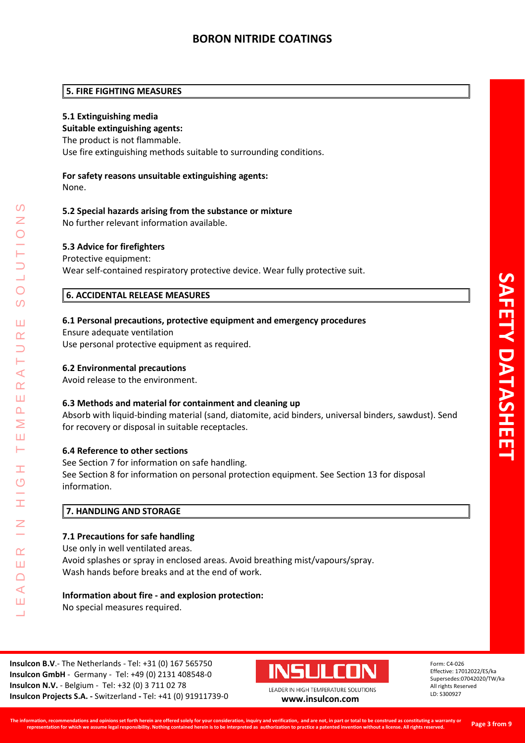### **5. FIRE FIGHTING MEASURES**

### **5.1 Extinguishing media**

#### **Suitable extinguishing agents:**

The product is not flammable.

Use fire extinguishing methods suitable to surrounding conditions.

# **For safety reasons unsuitable extinguishing agents:**

None.

LEADER IN HIGH TEMPERATURE SOLUTIONS

Ŧ  $\overline{O}$ 

 $\alpha$ Ш  $\cap$  $\blacktriangleleft$ Ш  $\overline{\phantom{0}}$ 

⋖  $\alpha$ Ш  $\overline{\mathbf{r}}$ Σ Ш  $\vdash$ 

 $\Omega$ 

 $\overline{O}$  $\Omega$ 

Ш  $\alpha$ 

#### **5.2 Special hazards arising from the substance or mixture**

No further relevant information available.

#### **5.3 Advice for firefighters**

#### Protective equipment:

Wear self-contained respiratory protective device. Wear fully protective suit.

## **6. ACCIDENTAL RELEASE MEASURES**

#### **6.1 Personal precautions, protective equipment and emergency procedures**

Ensure adequate ventilation Use personal protective equipment as required.

#### **6.2 Environmental precautions**

Avoid release to the environment.

#### **6.3 Methods and material for containment and cleaning up**

Absorb with liquid-binding material (sand, diatomite, acid binders, universal binders, sawdust). Send for recovery or disposal in suitable receptacles.

## **6.4 Reference to other sections**

See Section 7 for information on safe handling. See Section 8 for information on personal protection equipment. See Section 13 for disposal information.

## **7. HANDLING AND STORAGE**

#### **7.1 Precautions for safe handling**

Use only in well ventilated areas. Avoid splashes or spray in enclosed areas. Avoid breathing mist/vapours/spray. Wash hands before breaks and at the end of work.

## **Information about fire - and explosion protection:**

No special measures required.

**Insulcon B.V**.- The Netherlands - Tel: +31 (0) 167 565750 **Insulcon GmbH** - Germany - Tel: +49 (0) 2131 408548-0 **Insulcon N.V.** - Belgium - Tel: +32 (0) 3 711 02 78 **Insulcon Projects S.A. -** Switzerland **-** Tel: +41 (0) 91911739-0 **[www.insulcon.com](http://www.insulcon.com/)**

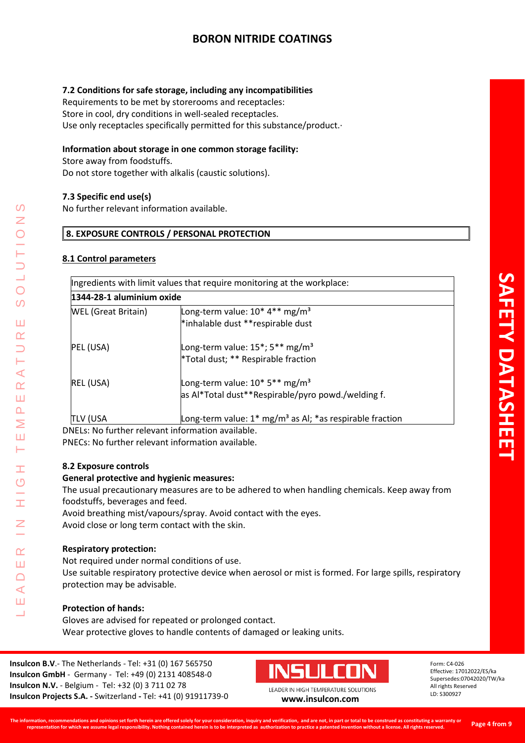# **7.2 Conditions for safe storage, including any incompatibilities**

Requirements to be met by storerooms and receptacles: Store in cool, dry conditions in well-sealed receptacles. Use only receptacles specifically permitted for this substance/product.·

## **Information about storage in one common storage facility:**

Store away from foodstuffs.

Do not store together with alkalis (caustic solutions).

## **7.3 Specific end use(s)**

No further relevant information available.

## **8. EXPOSURE CONTROLS / PERSONAL PROTECTION**

## **8.1 Control parameters**

|                            | Ingredients with limit values that require monitoring at the workplace: |  |
|----------------------------|-------------------------------------------------------------------------|--|
| 1344-28-1 aluminium oxide  |                                                                         |  |
| <b>WEL</b> (Great Britain) | Long-term value: $10^*$ 4 <sup>**</sup> mg/m <sup>3</sup>               |  |
|                            | *inhalable dust ** respirable dust                                      |  |
| PEL (USA)                  | Long-term value: 15 <sup>*</sup> ; 5 <sup>**</sup> mg/m <sup>3</sup>    |  |
|                            | *Total dust; ** Respirable fraction                                     |  |
| REL (USA)                  | Long-term value: 10* 5** mg/m <sup>3</sup>                              |  |
|                            | as Al*Total dust**Respirable/pyro powd./welding f.                      |  |
| <b>TLV (USA</b>            | Long-term value: $1^*$ mg/m <sup>3</sup> as Al; *as respirable fraction |  |

DNELs: No further relevant information available. PNECs: No further relevant information available.

# **8.2 Exposure controls**

LEADER IN HIGH TEMPERATURE SOLUTIONS

Ŧ  $\overline{O}$ 

 $\alpha$ Ш  $\Box$  $\blacktriangleleft$ Ш  $\overline{\phantom{0}}$ 

 $\prec$  $\alpha$ Ш  $\overline{\mathbf{r}}$ Σ Ш Н

 $\Omega$ Z

 $\bigcirc$ 

 $\overline{O}$ 

Ш  $\alpha$ 

## **General protective and hygienic measures:**

The usual precautionary measures are to be adhered to when handling chemicals. Keep away from foodstuffs, beverages and feed.

Avoid breathing mist/vapours/spray. Avoid contact with the eyes. Avoid close or long term contact with the skin.

# **Respiratory protection:**

Not required under normal conditions of use.

Use suitable respiratory protective device when aerosol or mist is formed. For large spills, respiratory protection may be advisable.

# **Protection of hands:**

Gloves are advised for repeated or prolonged contact. Wear protective gloves to handle contents of damaged or leaking units.

**Insulcon B.V**.- The Netherlands - Tel: +31 (0) 167 565750 **Insulcon GmbH** - Germany - Tel: +49 (0) 2131 408548-0 **Insulcon N.V.** - Belgium - Tel: +32 (0) 3 711 02 78 **Insulcon Projects S.A. -** Switzerland **-** Tel: +41 (0) 91911739-0 **[www.insulcon.com](http://www.insulcon.com/)**

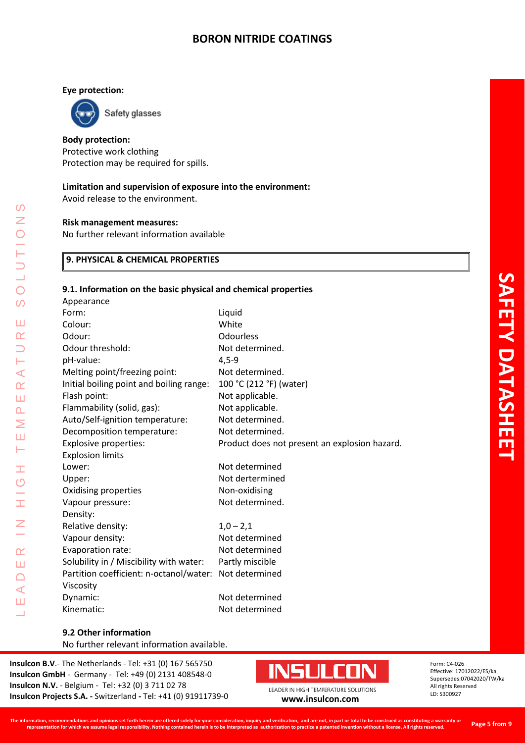## **Eye protection:**



LEADER IN HIGH TEMPERATURE SOLUTIONS

Ŧ  $\overline{O}$ 

Ŧ

Z

 $\alpha$ Ш  $\Box$  $\blacktriangleleft$ Ш Ц

 $\Omega$  $\overline{z}$ 

 $\overline{O}$  $\overline{O}$ 

Ш  $\alpha$  $\overline{\phantom{0}}$ H  $\prec$  $\alpha$ Ш  $\Delta$ Σ Ш Н

**Body protection:**

Protective work clothing Protection may be required for spills.

## **Limitation and supervision of exposure into the environment:**

Avoid release to the environment.

#### **Risk management measures:**

No further relevant information available

# **9. PHYSICAL & CHEMICAL PROPERTIES**

#### **9.1. Information on the basic physical and chemical properties**

| Appearance                               |                                               |
|------------------------------------------|-----------------------------------------------|
| Form:                                    | Liquid                                        |
| Colour:                                  | White                                         |
| Odour:                                   | Odourless                                     |
| Odour threshold:                         | Not determined.                               |
| pH-value:                                | $4,5-9$                                       |
| Melting point/freezing point:            | Not determined.                               |
| Initial boiling point and boiling range: | 100 °C (212 °F) (water)                       |
| Flash point:                             | Not applicable.                               |
| Flammability (solid, gas):               | Not applicable.                               |
| Auto/Self-ignition temperature:          | Not determined.                               |
| Decomposition temperature:               | Not determined.                               |
| <b>Explosive properties:</b>             | Product does not present an explosion hazard. |
| <b>Explosion limits</b>                  |                                               |
| Lower:                                   | Not determined                                |
| Upper:                                   | Not dertermined                               |
| Oxidising properties                     | Non-oxidising                                 |
| Vapour pressure:                         | Not determined.                               |
| Density:                                 |                                               |
| Relative density:                        | $1,0 - 2,1$                                   |
| Vapour density:                          | Not determined                                |
| Evaporation rate:                        | Not determined                                |
| Solubility in / Miscibility with water:  | Partly miscible                               |
| Partition coefficient: n-octanol/water:  | Not determined                                |
| Viscosity                                |                                               |
| Dynamic:                                 | Not determined                                |
| Kinematic:                               | Not determined                                |
|                                          |                                               |

No further relevant information available.

**Insulcon B.V**.- The Netherlands - Tel: +31 (0) 167 565750 **Insulcon GmbH** - Germany - Tel: +49 (0) 2131 408548-0 **Insulcon N.V.** - Belgium - Tel: +32 (0) 3 711 02 78 **Insulcon Projects S.A. -** Switzerland **-** Tel: +41 (0) 91911739-0 **[www.insulcon.com](http://www.insulcon.com/)**

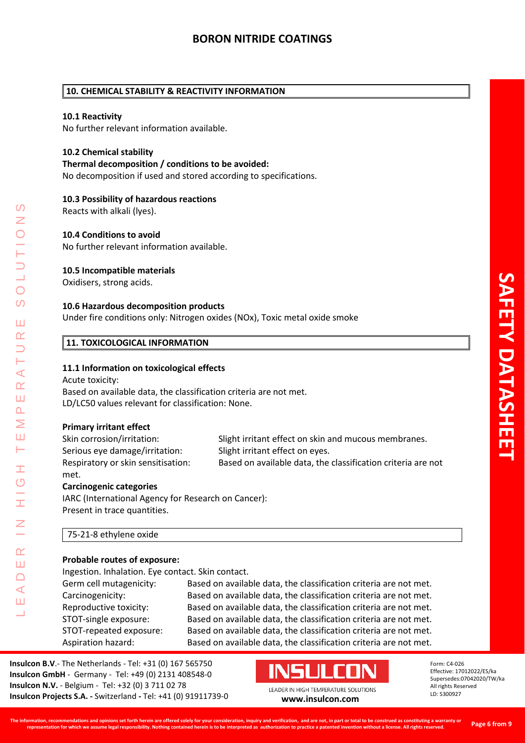## **10. CHEMICAL STABILITY & REACTIVITY INFORMATION**

#### **10.1 Reactivity**

No further relevant information available.

### **10.2 Chemical stability**

**Thermal decomposition / conditions to be avoided:**

No decomposition if used and stored according to specifications.

#### **10.3 Possibility of hazardous reactions**

Reacts with alkali (lyes).

#### **10.4 Conditions to avoid**

No further relevant information available.

#### **10.5 Incompatible materials**

Oxidisers, strong acids.

#### **10.6 Hazardous decomposition products**

Under fire conditions only: Nitrogen oxides (NOx), Toxic metal oxide smoke

## **11. TOXICOLOGICAL INFORMATION**

#### **11.1 Information on toxicological effects**

Acute toxicity: Based on available data, the classification criteria are not met. LD/LC50 values relevant for classification: None.

#### **Primary irritant effect**

LEADER IN HIGH TEMPERATURE SOLUTIONS

Ŧ  $\overline{C}$ 

 $\alpha$ Ш  $\Box$  $\blacktriangleleft$ Ш  $\overline{\phantom{0}}$ 

 $\blacktriangleleft$  $\alpha$ Ш  $\overline{\mathbf{r}}$ Σ Ш Н

 $\overline{\bigcirc}$  $\Omega$ 

Ш  $\alpha$ 

> Skin corrosion/irritation: Slight irritant effect on skin and mucous membranes. Serious eye damage/irritation: Slight irritant effect on eyes. Respiratory or skin sensitisation: Based on available data, the classification criteria are not met.

#### **Carcinogenic categories**

IARC (International Agency for Research on Cancer): Present in trace quantities.

#### 75-21-8 ethylene oxide

#### **Probable routes of exposure:**

Ingestion. Inhalation. Eye contact. Skin contact.

Germ cell mutagenicity: Based on available data, the classification criteria are not met. Carcinogenicity: Based on available data, the classification criteria are not met. Reproductive toxicity: Based on available data, the classification criteria are not met. STOT-single exposure: Based on available data, the classification criteria are not met. STOT-repeated exposure: Based on available data, the classification criteria are not met. Aspiration hazard: Based on available data, the classification criteria are not met.

**Insulcon B.V**.- The Netherlands - Tel: +31 (0) 167 565750 **Insulcon GmbH** - Germany - Tel: +49 (0) 2131 408548-0 **Insulcon N.V.** - Belgium - Tel: +32 (0) 3 711 02 78 **Insulcon Projects S.A. -** Switzerland **-** Tel: +41 (0) 91911739-0 **[www.insulcon.com](http://www.insulcon.com/)**

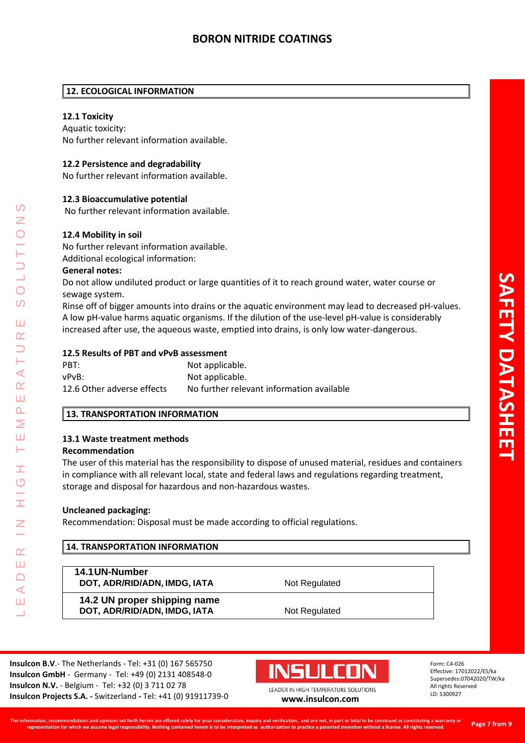# **12. ECOLOGICAL INFORMATION**

# **12.1 Toxicity**

Aquatic toxicity: No further relevant information available.

# **12.2 Persistence and degradability**

No further relevant information available.

# **12.3 Bioaccumulative potential**

No further relevant information available.

# **12.4 Mobility in soil**

No further relevant information available. Additional ecological information:

# **General notes:**

Do not allow undiluted product or large quantities of it to reach ground water, water course or sewage system.

Rinse off of bigger amounts into drains or the aquatic environment may lead to decreased pH-values. A low pH-value harms aquatic organisms. If the dilution of the use-level pH-value is considerably increased after use, the aqueous waste, emptied into drains, is only low water-dangerous.

## **12.5 Results of PBT and vPvB assessment**

| PBT:                       | Not applicable.                           |
|----------------------------|-------------------------------------------|
| vPvB:                      | Not applicable.                           |
| 12.6 Other adverse effects | No further relevant information available |

# **13. TRANSPORTATION INFORMATION**

# **13.1 Waste treatment methods**

## **Recommendation**

LEADER IN HIGH TEMPERATURE SOLUTIONS

Ŧ  $\overline{O}$ 

 $\alpha$ Ш  $\Box$  $\blacktriangleleft$ Ш  $\overline{\phantom{0}}$ 

⋖  $\alpha$ Ш  $\overline{\mathbf{r}}$ Σ Ш Н

 $\Omega$ 

 $\bigcirc$  $\Omega$ 

Ш  $\alpha$ 

> The user of this material has the responsibility to dispose of unused material, residues and containers in compliance with all relevant local, state and federal laws and regulations regarding treatment, storage and disposal for hazardous and non-hazardous wastes.

# **Uncleaned packaging:**

Recommendation: Disposal must be made according to official regulations.

| <b>14. TRANSPORTATION INFORMATION</b> |               |  |
|---------------------------------------|---------------|--|
| 14.1 UN-Number                        |               |  |
| DOT, ADR/RID/ADN, IMDG, IATA          | Not Regulated |  |
| 14.2 UN proper shipping name          |               |  |
| DOT, ADR/RID/ADN, IMDG, IATA          | Not Regulated |  |

**Insulcon B.V**.- The Netherlands - Tel: +31 (0) 167 565750 **Insulcon GmbH** - Germany - Tel: +49 (0) 2131 408548-0 **Insulcon N.V.** - Belgium - Tel: +32 (0) 3 711 02 78 **Insulcon Projects S.A. -** Switzerland **-** Tel: +41 (0) 91911739-0 **[www.insulcon.com](http://www.insulcon.com/)**

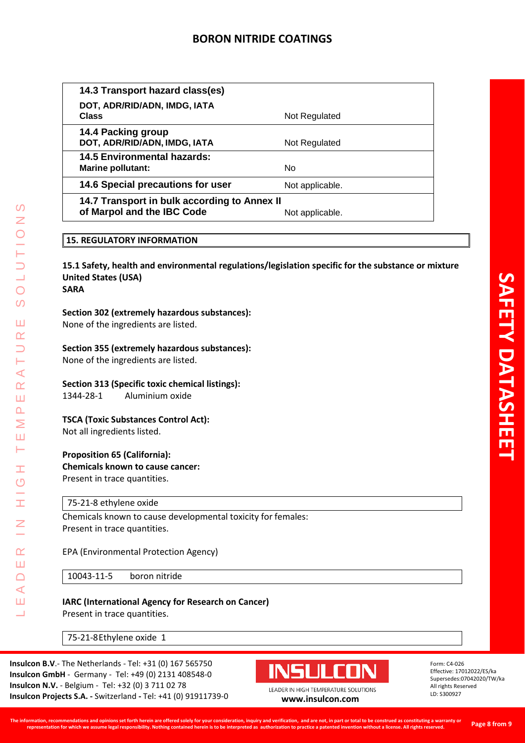| 14.3 Transport hazard class(es)                                            |                 |
|----------------------------------------------------------------------------|-----------------|
| DOT, ADR/RID/ADN, IMDG, IATA<br><b>Class</b>                               | Not Regulated   |
| 14.4 Packing group<br>DOT, ADR/RID/ADN, IMDG, IATA                         | Not Regulated   |
| <b>14.5 Environmental hazards:</b><br><b>Marine pollutant:</b>             | No.             |
| 14.6 Special precautions for user                                          | Not applicable. |
| 14.7 Transport in bulk according to Annex II<br>of Marpol and the IBC Code | Not applicable. |
|                                                                            |                 |

## **15. REGULATORY INFORMATION**

**15.1 Safety, health and environmental regulations/legislation specific for the substance or mixture United States (USA) SARA**

## **Section 302 (extremely hazardous substances):**

None of the ingredients are listed.

#### **Section 355 (extremely hazardous substances):**

None of the ingredients are listed.

## **Section 313 (Specific toxic chemical listings):**

1344-28-1 Aluminium oxide

## **TSCA (Toxic Substances Control Act):**

Not all ingredients listed.

LEADER IN HIGH TEMPERATURE SOLUTIONS

Ŧ  $\overline{O}$ 

H

 $\alpha$ Ш  $\Box$  $\blacktriangleleft$ Ш  $\overline{\phantom{0}}$ 

 $\Omega$ Z

 $\overline{O}$  $\Omega$ 

Ш  $\alpha$  $\overline{\phantom{0}}$ Н  $\prec$  $\alpha$ Ш  $\overline{\mathbf{r}}$ Σ Ш  $\vdash$ 

#### **Proposition 65 (California):**

**Chemicals known to cause cancer:** Present in trace quantities.

## 75-21-8 ethylene oxide

Chemicals known to cause developmental toxicity for females: Present in trace quantities.

#### EPA (Environmental Protection Agency)

10043-11-5 boron nitride

# **IARC (International Agency for Research on Cancer)**

Present in trace quantities.

75-21-8Ethylene oxide 1

**Insulcon B.V**.- The Netherlands - Tel: +31 (0) 167 565750 **Insulcon GmbH** - Germany - Tel: +49 (0) 2131 408548-0 **Insulcon N.V.** - Belgium - Tel: +32 (0) 3 711 02 78 **Insulcon Projects S.A. -** Switzerland **-** Tel: +41 (0) 91911739-0 **[www.insulcon.com](http://www.insulcon.com/)**